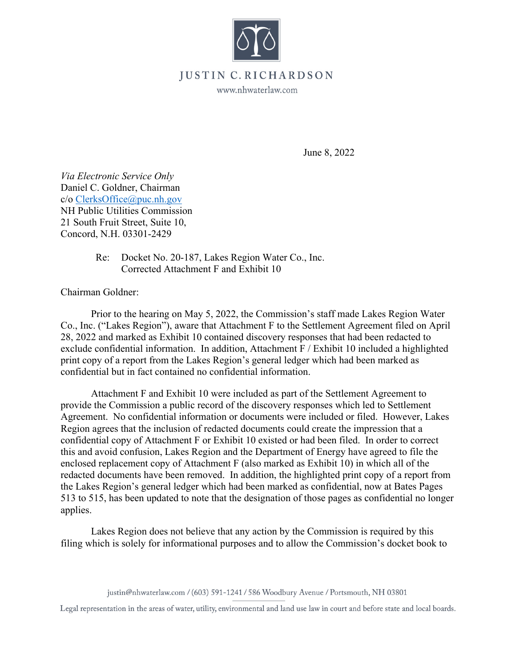

## **JUSTIN** • **C. RICHARDSON**

www.nhwaterlaw.com

June 8, 2022

*Via Electronic Service Only*  Daniel C. Goldner, Chairman c/o ClerksOffice@puc.nh.gov NH Public Utilities Commission 21 South Fruit Street, Suite 10, Concord, N.H. 03301-2429

> Re: Docket No. 20-187, Lakes Region Water Co., Inc. Corrected Attachment F and Exhibit 10

Chairman Goldner:

Prior to the hearing on May 5, 2022, the Commission's staff made Lakes Region Water Co., Inc. ("Lakes Region"), aware that Attachment F to the Settlement Agreement filed on April 28, 2022 and marked as Exhibit 10 contained discovery responses that had been redacted to exclude confidential information. In addition, Attachment F / Exhibit 10 included a highlighted print copy of a report from the Lakes Region's general ledger which had been marked as confidential but in fact contained no confidential information.

Attachment F and Exhibit 10 were included as part of the Settlement Agreement to provide the Commission a public record of the discovery responses which led to Settlement Agreement. No confidential information or documents were included or filed. However, Lakes Region agrees that the inclusion of redacted documents could create the impression that a confidential copy of Attachment F or Exhibit 10 existed or had been filed. In order to correct this and avoid confusion, Lakes Region and the Department of Energy have agreed to file the enclosed replacement copy of Attachment F (also marked as Exhibit 10) in which all of the redacted documents have been removed. In addition, the highlighted print copy of a report from the Lakes Region's general ledger which had been marked as confidential, now at Bates Pages 513 to 515, has been updated to note that the designation of those pages as confidential no longer applies.

Lakes Region does not believe that any action by the Commission is required by this filing which is solely for informational purposes and to allow the Commission's docket book to

justin@nhwaterlaw.com / (603) 591-1241 / 586 Woodbury Avenue/ Portsmouth, **NH** 03801

Legal representation in the areas of water, utility, environmental and land use law in court and before state and local boards.